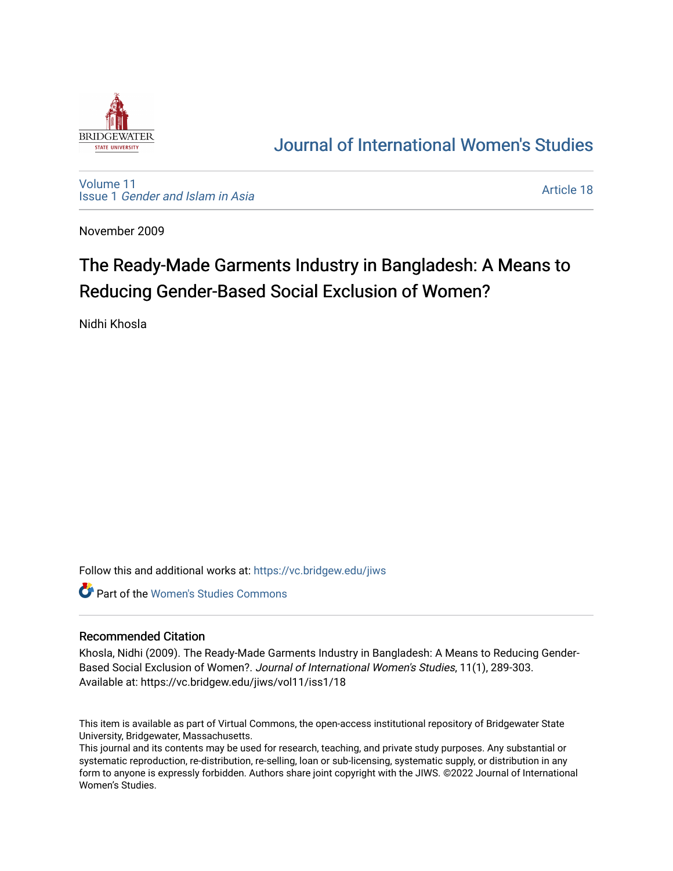

## [Journal of International Women's Studies](https://vc.bridgew.edu/jiws)

[Volume 11](https://vc.bridgew.edu/jiws/vol11) Issue 1 [Gender and Islam in Asia](https://vc.bridgew.edu/jiws/vol11/iss1)

[Article 18](https://vc.bridgew.edu/jiws/vol11/iss1/18) 

November 2009

# The Ready-Made Garments Industry in Bangladesh: A Means to Reducing Gender-Based Social Exclusion of Women?

Nidhi Khosla

Follow this and additional works at: [https://vc.bridgew.edu/jiws](https://vc.bridgew.edu/jiws?utm_source=vc.bridgew.edu%2Fjiws%2Fvol11%2Fiss1%2F18&utm_medium=PDF&utm_campaign=PDFCoverPages)

Part of the [Women's Studies Commons](http://network.bepress.com/hgg/discipline/561?utm_source=vc.bridgew.edu%2Fjiws%2Fvol11%2Fiss1%2F18&utm_medium=PDF&utm_campaign=PDFCoverPages) 

#### Recommended Citation

Khosla, Nidhi (2009). The Ready-Made Garments Industry in Bangladesh: A Means to Reducing Gender-Based Social Exclusion of Women?. Journal of International Women's Studies, 11(1), 289-303. Available at: https://vc.bridgew.edu/jiws/vol11/iss1/18

This item is available as part of Virtual Commons, the open-access institutional repository of Bridgewater State University, Bridgewater, Massachusetts.

This journal and its contents may be used for research, teaching, and private study purposes. Any substantial or systematic reproduction, re-distribution, re-selling, loan or sub-licensing, systematic supply, or distribution in any form to anyone is expressly forbidden. Authors share joint copyright with the JIWS. ©2022 Journal of International Women's Studies.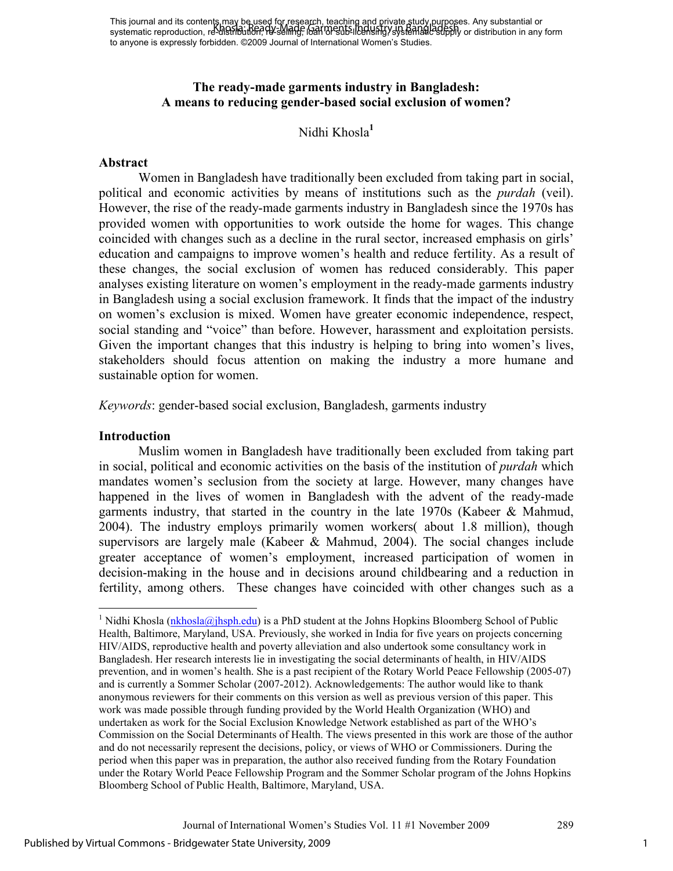## **The ready-made garments industry in Bangladesh: A means to reducing gender-based social exclusion of women?**

## Nidhi Khosla**<sup>1</sup>**

#### **Abstract**

 Women in Bangladesh have traditionally been excluded from taking part in social, political and economic activities by means of institutions such as the *purdah* (veil). However, the rise of the ready-made garments industry in Bangladesh since the 1970s has provided women with opportunities to work outside the home for wages. This change coincided with changes such as a decline in the rural sector, increased emphasis on girls' education and campaigns to improve women's health and reduce fertility. As a result of these changes, the social exclusion of women has reduced considerably. This paper analyses existing literature on women's employment in the ready-made garments industry in Bangladesh using a social exclusion framework. It finds that the impact of the industry on women's exclusion is mixed. Women have greater economic independence, respect, social standing and "voice" than before. However, harassment and exploitation persists. Given the important changes that this industry is helping to bring into women's lives, stakeholders should focus attention on making the industry a more humane and sustainable option for women.

*Keywords*: gender-based social exclusion, Bangladesh, garments industry

#### **Introduction**

-

Muslim women in Bangladesh have traditionally been excluded from taking part in social, political and economic activities on the basis of the institution of *purdah* which mandates women's seclusion from the society at large. However, many changes have happened in the lives of women in Bangladesh with the advent of the ready-made garments industry, that started in the country in the late  $1970s$  (Kabeer & Mahmud, 2004). The industry employs primarily women workers( about 1.8 million), though supervisors are largely male (Kabeer  $\&$  Mahmud, 2004). The social changes include greater acceptance of women's employment, increased participation of women in decision-making in the house and in decisions around childbearing and a reduction in fertility, among others. These changes have coincided with other changes such as a

<sup>&</sup>lt;sup>1</sup> Nidhi Khosla ( $\frac{nk \text{hosh}(\alpha)}{n}$ ) is a PhD student at the Johns Hopkins Bloomberg School of Public Health, Baltimore, Maryland, USA. Previously, she worked in India for five years on projects concerning HIV/AIDS, reproductive health and poverty alleviation and also undertook some consultancy work in Bangladesh. Her research interests lie in investigating the social determinants of health, in HIV/AIDS prevention, and in women's health. She is a past recipient of the Rotary World Peace Fellowship (2005-07) and is currently a Sommer Scholar (2007-2012). Acknowledgements: The author would like to thank anonymous reviewers for their comments on this version as well as previous version of this paper. This work was made possible through funding provided by the World Health Organization (WHO) and undertaken as work for the Social Exclusion Knowledge Network established as part of the WHO's Commission on the Social Determinants of Health. The views presented in this work are those of the author and do not necessarily represent the decisions, policy, or views of WHO or Commissioners. During the period when this paper was in preparation, the author also received funding from the Rotary Foundation under the Rotary World Peace Fellowship Program and the Sommer Scholar program of the Johns Hopkins Bloomberg School of Public Health, Baltimore, Maryland, USA.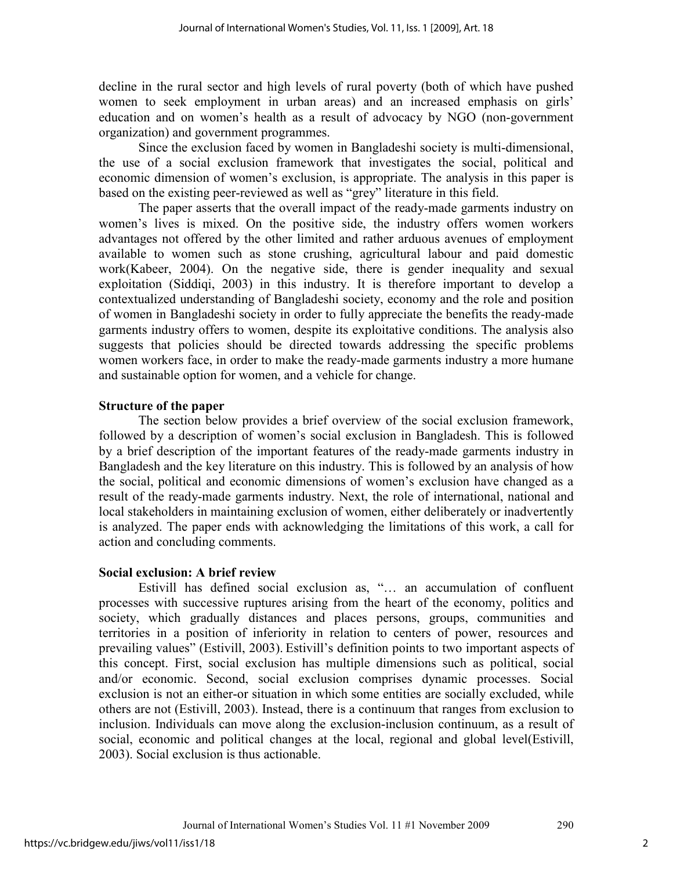decline in the rural sector and high levels of rural poverty (both of which have pushed women to seek employment in urban areas) and an increased emphasis on girls' education and on women's health as a result of advocacy by NGO (non-government organization) and government programmes.

Since the exclusion faced by women in Bangladeshi society is multi-dimensional, the use of a social exclusion framework that investigates the social, political and economic dimension of women's exclusion, is appropriate. The analysis in this paper is based on the existing peer-reviewed as well as "grey" literature in this field.

The paper asserts that the overall impact of the ready-made garments industry on women's lives is mixed. On the positive side, the industry offers women workers advantages not offered by the other limited and rather arduous avenues of employment available to women such as stone crushing, agricultural labour and paid domestic work(Kabeer, 2004). On the negative side, there is gender inequality and sexual exploitation (Siddiqi, 2003) in this industry. It is therefore important to develop a contextualized understanding of Bangladeshi society, economy and the role and position of women in Bangladeshi society in order to fully appreciate the benefits the ready-made garments industry offers to women, despite its exploitative conditions. The analysis also suggests that policies should be directed towards addressing the specific problems women workers face, in order to make the ready-made garments industry a more humane and sustainable option for women, and a vehicle for change.

## **Structure of the paper**

The section below provides a brief overview of the social exclusion framework, followed by a description of women's social exclusion in Bangladesh. This is followed by a brief description of the important features of the ready-made garments industry in Bangladesh and the key literature on this industry. This is followed by an analysis of how the social, political and economic dimensions of women's exclusion have changed as a result of the ready-made garments industry. Next, the role of international, national and local stakeholders in maintaining exclusion of women, either deliberately or inadvertently is analyzed. The paper ends with acknowledging the limitations of this work, a call for action and concluding comments.

## **Social exclusion: A brief review**

Estivill has defined social exclusion as, "… an accumulation of confluent processes with successive ruptures arising from the heart of the economy, politics and society, which gradually distances and places persons, groups, communities and territories in a position of inferiority in relation to centers of power, resources and prevailing values" (Estivill, 2003). Estivill's definition points to two important aspects of this concept. First, social exclusion has multiple dimensions such as political, social and/or economic. Second, social exclusion comprises dynamic processes. Social exclusion is not an either-or situation in which some entities are socially excluded, while others are not (Estivill, 2003). Instead, there is a continuum that ranges from exclusion to inclusion. Individuals can move along the exclusion-inclusion continuum, as a result of social, economic and political changes at the local, regional and global level(Estivill, 2003). Social exclusion is thus actionable.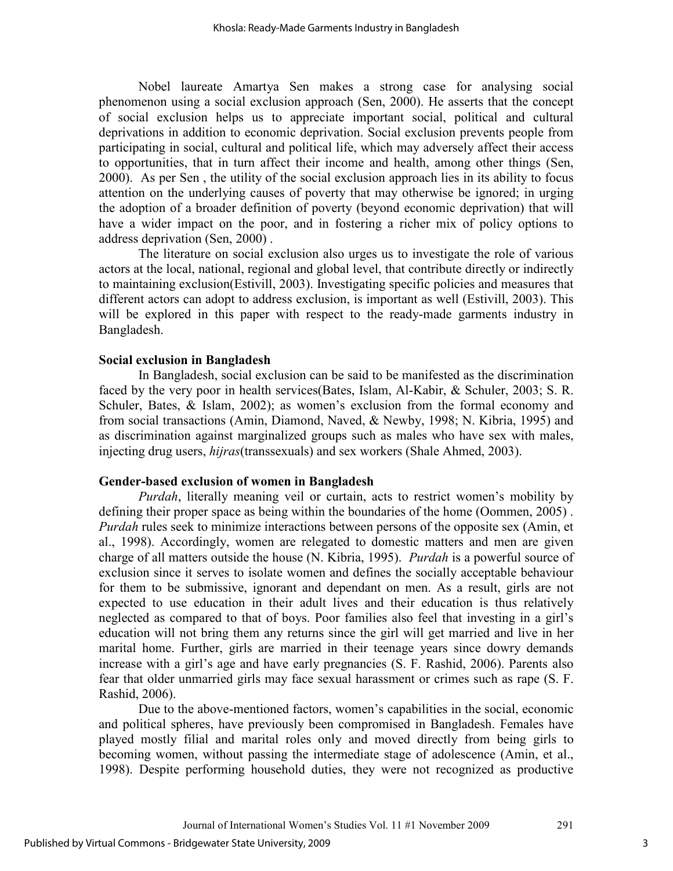Nobel laureate Amartya Sen makes a strong case for analysing social phenomenon using a social exclusion approach (Sen, 2000). He asserts that the concept of social exclusion helps us to appreciate important social, political and cultural deprivations in addition to economic deprivation. Social exclusion prevents people from participating in social, cultural and political life, which may adversely affect their access to opportunities, that in turn affect their income and health, among other things (Sen, 2000). As per Sen , the utility of the social exclusion approach lies in its ability to focus attention on the underlying causes of poverty that may otherwise be ignored; in urging the adoption of a broader definition of poverty (beyond economic deprivation) that will have a wider impact on the poor, and in fostering a richer mix of policy options to address deprivation (Sen, 2000) .

The literature on social exclusion also urges us to investigate the role of various actors at the local, national, regional and global level, that contribute directly or indirectly to maintaining exclusion(Estivill, 2003). Investigating specific policies and measures that different actors can adopt to address exclusion, is important as well (Estivill, 2003). This will be explored in this paper with respect to the ready-made garments industry in Bangladesh.

## **Social exclusion in Bangladesh**

In Bangladesh, social exclusion can be said to be manifested as the discrimination faced by the very poor in health services(Bates, Islam, Al-Kabir, & Schuler, 2003; S. R. Schuler, Bates, & Islam, 2002); as women's exclusion from the formal economy and from social transactions (Amin, Diamond, Naved, & Newby, 1998; N. Kibria, 1995) and as discrimination against marginalized groups such as males who have sex with males, injecting drug users, *hijras*(transsexuals) and sex workers (Shale Ahmed, 2003).

#### **Gender-based exclusion of women in Bangladesh**

*Purdah*, literally meaning veil or curtain, acts to restrict women's mobility by defining their proper space as being within the boundaries of the home (Oommen, 2005) . *Purdah* rules seek to minimize interactions between persons of the opposite sex (Amin, et al., 1998). Accordingly, women are relegated to domestic matters and men are given charge of all matters outside the house (N. Kibria, 1995). *Purdah* is a powerful source of exclusion since it serves to isolate women and defines the socially acceptable behaviour for them to be submissive, ignorant and dependant on men. As a result, girls are not expected to use education in their adult lives and their education is thus relatively neglected as compared to that of boys. Poor families also feel that investing in a girl's education will not bring them any returns since the girl will get married and live in her marital home. Further, girls are married in their teenage years since dowry demands increase with a girl's age and have early pregnancies (S. F. Rashid, 2006). Parents also fear that older unmarried girls may face sexual harassment or crimes such as rape (S. F. Rashid, 2006).

Due to the above-mentioned factors, women's capabilities in the social, economic and political spheres, have previously been compromised in Bangladesh. Females have played mostly filial and marital roles only and moved directly from being girls to becoming women, without passing the intermediate stage of adolescence (Amin, et al., 1998). Despite performing household duties, they were not recognized as productive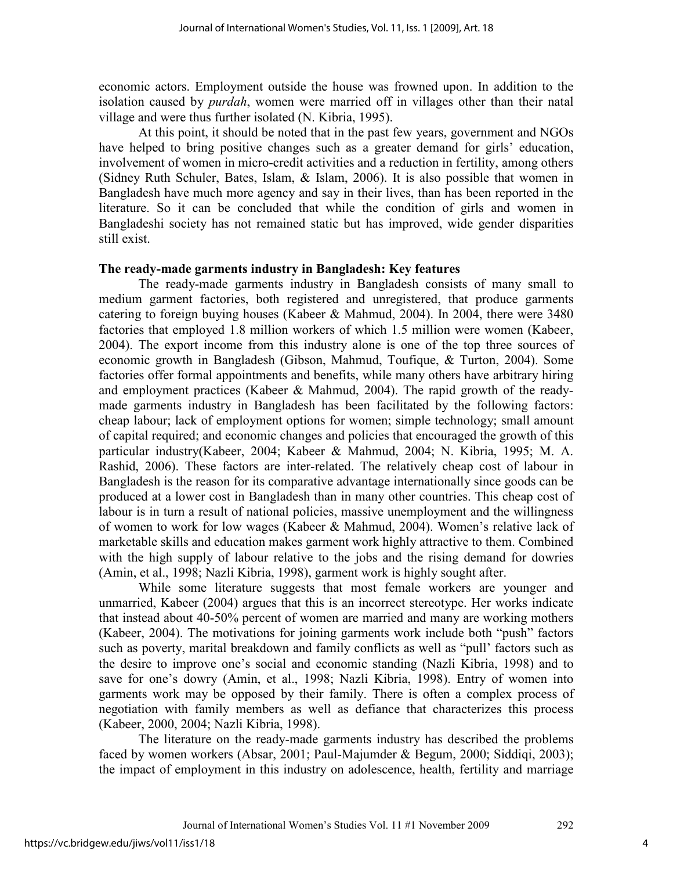economic actors. Employment outside the house was frowned upon. In addition to the isolation caused by *purdah*, women were married off in villages other than their natal village and were thus further isolated (N. Kibria, 1995).

At this point, it should be noted that in the past few years, government and NGOs have helped to bring positive changes such as a greater demand for girls' education, involvement of women in micro-credit activities and a reduction in fertility, among others (Sidney Ruth Schuler, Bates, Islam, & Islam, 2006). It is also possible that women in Bangladesh have much more agency and say in their lives, than has been reported in the literature. So it can be concluded that while the condition of girls and women in Bangladeshi society has not remained static but has improved, wide gender disparities still exist.

#### **The ready-made garments industry in Bangladesh: Key features**

The ready-made garments industry in Bangladesh consists of many small to medium garment factories, both registered and unregistered, that produce garments catering to foreign buying houses (Kabeer & Mahmud, 2004). In 2004, there were 3480 factories that employed 1.8 million workers of which 1.5 million were women (Kabeer, 2004). The export income from this industry alone is one of the top three sources of economic growth in Bangladesh (Gibson, Mahmud, Toufique, & Turton, 2004). Some factories offer formal appointments and benefits, while many others have arbitrary hiring and employment practices (Kabeer & Mahmud, 2004). The rapid growth of the readymade garments industry in Bangladesh has been facilitated by the following factors: cheap labour; lack of employment options for women; simple technology; small amount of capital required; and economic changes and policies that encouraged the growth of this particular industry(Kabeer, 2004; Kabeer & Mahmud, 2004; N. Kibria, 1995; M. A. Rashid, 2006). These factors are inter-related. The relatively cheap cost of labour in Bangladesh is the reason for its comparative advantage internationally since goods can be produced at a lower cost in Bangladesh than in many other countries. This cheap cost of labour is in turn a result of national policies, massive unemployment and the willingness of women to work for low wages (Kabeer & Mahmud, 2004). Women's relative lack of marketable skills and education makes garment work highly attractive to them. Combined with the high supply of labour relative to the jobs and the rising demand for dowries (Amin, et al., 1998; Nazli Kibria, 1998), garment work is highly sought after.

While some literature suggests that most female workers are younger and unmarried, Kabeer (2004) argues that this is an incorrect stereotype. Her works indicate that instead about 40-50% percent of women are married and many are working mothers (Kabeer, 2004). The motivations for joining garments work include both "push" factors such as poverty, marital breakdown and family conflicts as well as "pull' factors such as the desire to improve one's social and economic standing (Nazli Kibria, 1998) and to save for one's dowry (Amin, et al., 1998; Nazli Kibria, 1998). Entry of women into garments work may be opposed by their family. There is often a complex process of negotiation with family members as well as defiance that characterizes this process (Kabeer, 2000, 2004; Nazli Kibria, 1998).

The literature on the ready-made garments industry has described the problems faced by women workers (Absar, 2001; Paul-Majumder & Begum, 2000; Siddiqi, 2003); the impact of employment in this industry on adolescence, health, fertility and marriage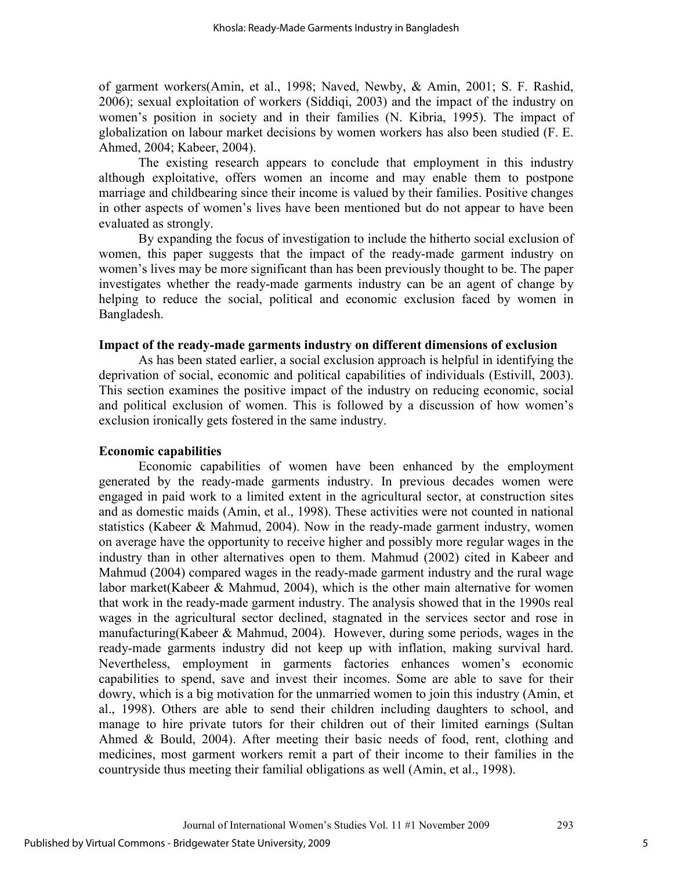of garment workers(Amin, et al., 1998; Naved, Newby, & Amin, 2001; S. F. Rashid, 2006); sexual exploitation of workers (Siddiqi, 2003) and the impact of the industry on women's position in society and in their families (N. Kibria, 1995). The impact of globalization on labour market decisions by women workers has also been studied (F. E. Ahmed, 2004; Kabeer, 2004).

The existing research appears to conclude that employment in this industry although exploitative, offers women an income and may enable them to postpone marriage and childbearing since their income is valued by their families. Positive changes in other aspects of women's lives have been mentioned but do not appear to have been evaluated as strongly.

By expanding the focus of investigation to include the hitherto social exclusion of women, this paper suggests that the impact of the ready-made garment industry on women's lives may be more significant than has been previously thought to be. The paper investigates whether the ready-made garments industry can be an agent of change by helping to reduce the social, political and economic exclusion faced by women in Bangladesh.

#### **Impact of the ready-made garments industry on different dimensions of exclusion**

As has been stated earlier, a social exclusion approach is helpful in identifying the deprivation of social, economic and political capabilities of individuals (Estivill, 2003). This section examines the positive impact of the industry on reducing economic, social and political exclusion of women. This is followed by a discussion of how women's exclusion ironically gets fostered in the same industry.

#### **Economic capabilities**

Economic capabilities of women have been enhanced by the employment generated by the ready-made garments industry. In previous decades women were engaged in paid work to a limited extent in the agricultural sector, at construction sites and as domestic maids (Amin, et al., 1998). These activities were not counted in national statistics (Kabeer & Mahmud, 2004). Now in the ready-made garment industry, women on average have the opportunity to receive higher and possibly more regular wages in the industry than in other alternatives open to them. Mahmud (2002) cited in Kabeer and Mahmud (2004) compared wages in the ready-made garment industry and the rural wage labor market(Kabeer & Mahmud, 2004), which is the other main alternative for women that work in the ready-made garment industry. The analysis showed that in the 1990s real wages in the agricultural sector declined, stagnated in the services sector and rose in manufacturing(Kabeer & Mahmud, 2004). However, during some periods, wages in the ready-made garments industry did not keep up with inflation, making survival hard. Nevertheless, employment in garments factories enhances women's economic capabilities to spend, save and invest their incomes. Some are able to save for their dowry, which is a big motivation for the unmarried women to join this industry (Amin, et al., 1998). Others are able to send their children including daughters to school, and manage to hire private tutors for their children out of their limited earnings (Sultan Ahmed & Bould, 2004). After meeting their basic needs of food, rent, clothing and medicines, most garment workers remit a part of their income to their families in the countryside thus meeting their familial obligations as well (Amin, et al., 1998).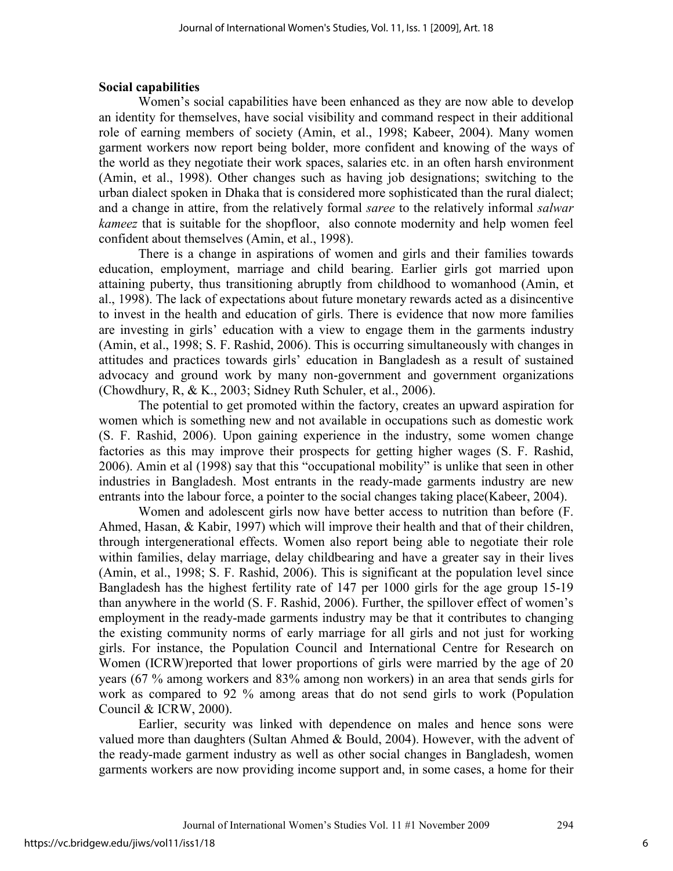#### **Social capabilities**

Women's social capabilities have been enhanced as they are now able to develop an identity for themselves, have social visibility and command respect in their additional role of earning members of society (Amin, et al., 1998; Kabeer, 2004). Many women garment workers now report being bolder, more confident and knowing of the ways of the world as they negotiate their work spaces, salaries etc. in an often harsh environment (Amin, et al., 1998). Other changes such as having job designations; switching to the urban dialect spoken in Dhaka that is considered more sophisticated than the rural dialect; and a change in attire, from the relatively formal *saree* to the relatively informal *salwar kameez* that is suitable for the shopfloor, also connote modernity and help women feel confident about themselves (Amin, et al., 1998).

There is a change in aspirations of women and girls and their families towards education, employment, marriage and child bearing. Earlier girls got married upon attaining puberty, thus transitioning abruptly from childhood to womanhood (Amin, et al., 1998). The lack of expectations about future monetary rewards acted as a disincentive to invest in the health and education of girls. There is evidence that now more families are investing in girls' education with a view to engage them in the garments industry (Amin, et al., 1998; S. F. Rashid, 2006). This is occurring simultaneously with changes in attitudes and practices towards girls' education in Bangladesh as a result of sustained advocacy and ground work by many non-government and government organizations (Chowdhury, R, & K., 2003; Sidney Ruth Schuler, et al., 2006).

The potential to get promoted within the factory, creates an upward aspiration for women which is something new and not available in occupations such as domestic work (S. F. Rashid, 2006). Upon gaining experience in the industry, some women change factories as this may improve their prospects for getting higher wages (S. F. Rashid, 2006). Amin et al (1998) say that this "occupational mobility" is unlike that seen in other industries in Bangladesh. Most entrants in the ready-made garments industry are new entrants into the labour force, a pointer to the social changes taking place(Kabeer, 2004).

Women and adolescent girls now have better access to nutrition than before (F. Ahmed, Hasan, & Kabir, 1997) which will improve their health and that of their children, through intergenerational effects. Women also report being able to negotiate their role within families, delay marriage, delay childbearing and have a greater say in their lives (Amin, et al., 1998; S. F. Rashid, 2006). This is significant at the population level since Bangladesh has the highest fertility rate of 147 per 1000 girls for the age group 15-19 than anywhere in the world (S. F. Rashid, 2006). Further, the spillover effect of women's employment in the ready-made garments industry may be that it contributes to changing the existing community norms of early marriage for all girls and not just for working girls. For instance, the Population Council and International Centre for Research on Women (ICRW)reported that lower proportions of girls were married by the age of 20 years (67 % among workers and 83% among non workers) in an area that sends girls for work as compared to 92 % among areas that do not send girls to work (Population Council & ICRW, 2000).

Earlier, security was linked with dependence on males and hence sons were valued more than daughters (Sultan Ahmed & Bould, 2004). However, with the advent of the ready-made garment industry as well as other social changes in Bangladesh, women garments workers are now providing income support and, in some cases, a home for their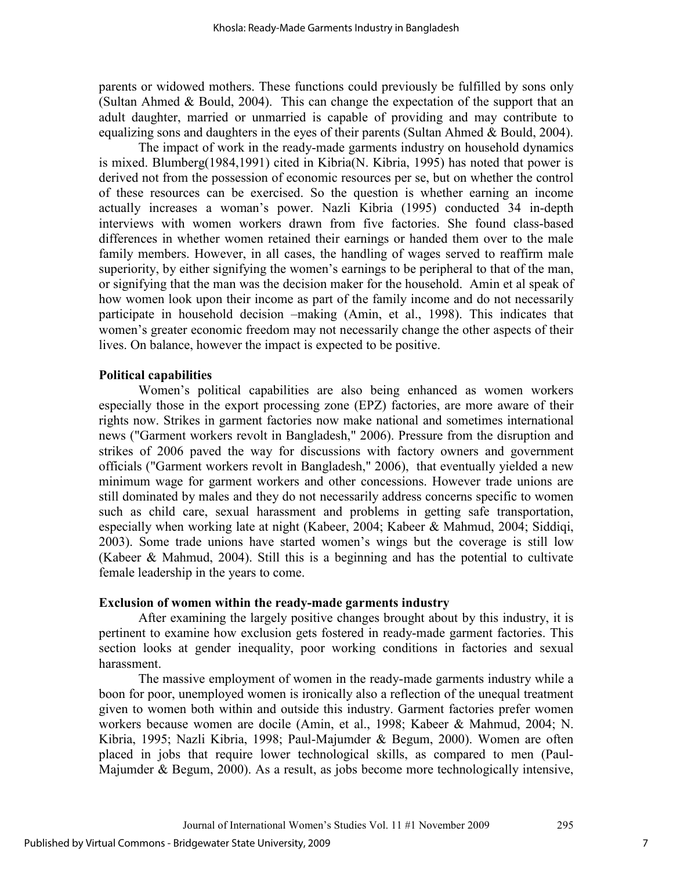parents or widowed mothers. These functions could previously be fulfilled by sons only (Sultan Ahmed & Bould, 2004). This can change the expectation of the support that an adult daughter, married or unmarried is capable of providing and may contribute to equalizing sons and daughters in the eyes of their parents (Sultan Ahmed & Bould, 2004).

The impact of work in the ready-made garments industry on household dynamics is mixed. Blumberg(1984,1991) cited in Kibria(N. Kibria, 1995) has noted that power is derived not from the possession of economic resources per se, but on whether the control of these resources can be exercised. So the question is whether earning an income actually increases a woman's power. Nazli Kibria (1995) conducted 34 in-depth interviews with women workers drawn from five factories. She found class-based differences in whether women retained their earnings or handed them over to the male family members. However, in all cases, the handling of wages served to reaffirm male superiority, by either signifying the women's earnings to be peripheral to that of the man, or signifying that the man was the decision maker for the household. Amin et al speak of how women look upon their income as part of the family income and do not necessarily participate in household decision –making (Amin, et al., 1998). This indicates that women's greater economic freedom may not necessarily change the other aspects of their lives. On balance, however the impact is expected to be positive.

#### **Political capabilities**

Women's political capabilities are also being enhanced as women workers especially those in the export processing zone (EPZ) factories, are more aware of their rights now. Strikes in garment factories now make national and sometimes international news ("Garment workers revolt in Bangladesh," 2006). Pressure from the disruption and strikes of 2006 paved the way for discussions with factory owners and government officials ("Garment workers revolt in Bangladesh," 2006), that eventually yielded a new minimum wage for garment workers and other concessions. However trade unions are still dominated by males and they do not necessarily address concerns specific to women such as child care, sexual harassment and problems in getting safe transportation, especially when working late at night (Kabeer, 2004; Kabeer & Mahmud, 2004; Siddiqi, 2003). Some trade unions have started women's wings but the coverage is still low (Kabeer & Mahmud, 2004). Still this is a beginning and has the potential to cultivate female leadership in the years to come.

#### **Exclusion of women within the ready-made garments industry**

After examining the largely positive changes brought about by this industry, it is pertinent to examine how exclusion gets fostered in ready-made garment factories. This section looks at gender inequality, poor working conditions in factories and sexual harassment.

The massive employment of women in the ready-made garments industry while a boon for poor, unemployed women is ironically also a reflection of the unequal treatment given to women both within and outside this industry. Garment factories prefer women workers because women are docile (Amin, et al., 1998; Kabeer & Mahmud, 2004; N. Kibria, 1995; Nazli Kibria, 1998; Paul-Majumder & Begum, 2000). Women are often placed in jobs that require lower technological skills, as compared to men (Paul-Majumder & Begum, 2000). As a result, as jobs become more technologically intensive,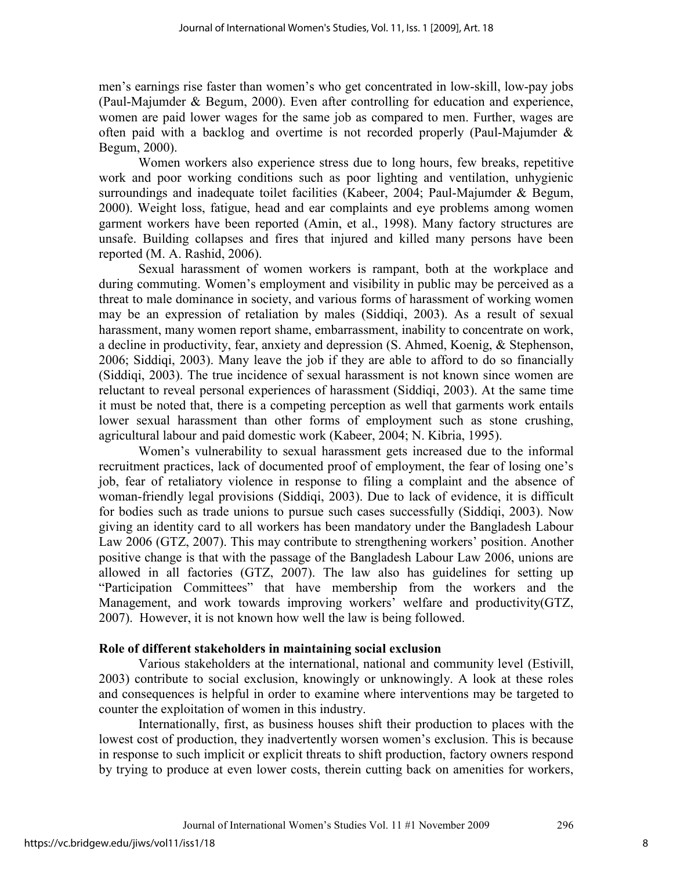men's earnings rise faster than women's who get concentrated in low-skill, low-pay jobs (Paul-Majumder & Begum, 2000). Even after controlling for education and experience, women are paid lower wages for the same job as compared to men. Further, wages are often paid with a backlog and overtime is not recorded properly (Paul-Majumder & Begum, 2000).

Women workers also experience stress due to long hours, few breaks, repetitive work and poor working conditions such as poor lighting and ventilation, unhygienic surroundings and inadequate toilet facilities (Kabeer, 2004; Paul-Majumder & Begum, 2000). Weight loss, fatigue, head and ear complaints and eye problems among women garment workers have been reported (Amin, et al., 1998). Many factory structures are unsafe. Building collapses and fires that injured and killed many persons have been reported (M. A. Rashid, 2006).

Sexual harassment of women workers is rampant, both at the workplace and during commuting. Women's employment and visibility in public may be perceived as a threat to male dominance in society, and various forms of harassment of working women may be an expression of retaliation by males (Siddiqi, 2003). As a result of sexual harassment, many women report shame, embarrassment, inability to concentrate on work, a decline in productivity, fear, anxiety and depression (S. Ahmed, Koenig, & Stephenson, 2006; Siddiqi, 2003). Many leave the job if they are able to afford to do so financially (Siddiqi, 2003). The true incidence of sexual harassment is not known since women are reluctant to reveal personal experiences of harassment (Siddiqi, 2003). At the same time it must be noted that, there is a competing perception as well that garments work entails lower sexual harassment than other forms of employment such as stone crushing, agricultural labour and paid domestic work (Kabeer, 2004; N. Kibria, 1995).

Women's vulnerability to sexual harassment gets increased due to the informal recruitment practices, lack of documented proof of employment, the fear of losing one's job, fear of retaliatory violence in response to filing a complaint and the absence of woman-friendly legal provisions (Siddiqi, 2003). Due to lack of evidence, it is difficult for bodies such as trade unions to pursue such cases successfully (Siddiqi, 2003). Now giving an identity card to all workers has been mandatory under the Bangladesh Labour Law 2006 (GTZ, 2007). This may contribute to strengthening workers' position. Another positive change is that with the passage of the Bangladesh Labour Law 2006, unions are allowed in all factories (GTZ, 2007). The law also has guidelines for setting up "Participation Committees" that have membership from the workers and the Management, and work towards improving workers' welfare and productivity(GTZ, 2007). However, it is not known how well the law is being followed.

## **Role of different stakeholders in maintaining social exclusion**

Various stakeholders at the international, national and community level (Estivill, 2003) contribute to social exclusion, knowingly or unknowingly. A look at these roles and consequences is helpful in order to examine where interventions may be targeted to counter the exploitation of women in this industry.

Internationally, first, as business houses shift their production to places with the lowest cost of production, they inadvertently worsen women's exclusion. This is because in response to such implicit or explicit threats to shift production, factory owners respond by trying to produce at even lower costs, therein cutting back on amenities for workers,

8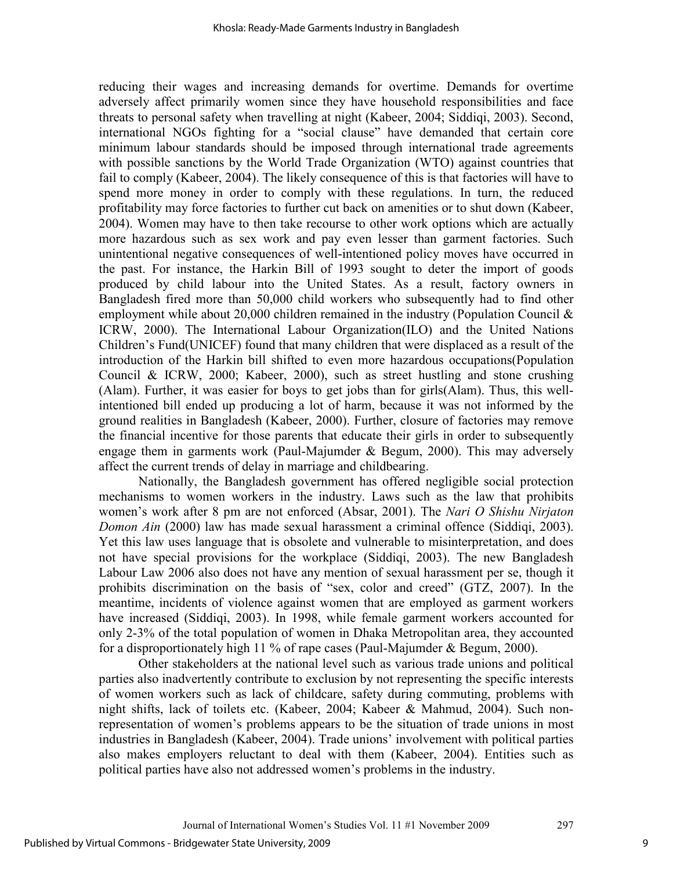reducing their wages and increasing demands for overtime. Demands for overtime adversely affect primarily women since they have household responsibilities and face threats to personal safety when travelling at night (Kabeer, 2004; Siddiqi, 2003). Second, international NGOs fighting for a "social clause" have demanded that certain core minimum labour standards should be imposed through international trade agreements with possible sanctions by the World Trade Organization (WTO) against countries that fail to comply (Kabeer, 2004). The likely consequence of this is that factories will have to spend more money in order to comply with these regulations. In turn, the reduced profitability may force factories to further cut back on amenities or to shut down (Kabeer, 2004). Women may have to then take recourse to other work options which are actually more hazardous such as sex work and pay even lesser than garment factories. Such unintentional negative consequences of well-intentioned policy moves have occurred in the past. For instance, the Harkin Bill of 1993 sought to deter the import of goods produced by child labour into the United States. As a result, factory owners in Bangladesh fired more than 50,000 child workers who subsequently had to find other employment while about 20,000 children remained in the industry (Population Council & ICRW, 2000). The International Labour Organization(ILO) and the United Nations Children's Fund(UNICEF) found that many children that were displaced as a result of the introduction of the Harkin bill shifted to even more hazardous occupations(Population Council & ICRW, 2000; Kabeer, 2000), such as street hustling and stone crushing (Alam). Further, it was easier for boys to get jobs than for girls(Alam). Thus, this wellintentioned bill ended up producing a lot of harm, because it was not informed by the ground realities in Bangladesh (Kabeer, 2000). Further, closure of factories may remove the financial incentive for those parents that educate their girls in order to subsequently engage them in garments work (Paul-Majumder & Begum, 2000). This may adversely affect the current trends of delay in marriage and childbearing.

Nationally, the Bangladesh government has offered negligible social protection mechanisms to women workers in the industry. Laws such as the law that prohibits women's work after 8 pm are not enforced (Absar, 2001). The *Nari O Shishu Nirjaton Domon Ain* (2000) law has made sexual harassment a criminal offence (Siddiqi, 2003). Yet this law uses language that is obsolete and vulnerable to misinterpretation, and does not have special provisions for the workplace (Siddiqi, 2003). The new Bangladesh Labour Law 2006 also does not have any mention of sexual harassment per se, though it prohibits discrimination on the basis of "sex, color and creed" (GTZ, 2007). In the meantime, incidents of violence against women that are employed as garment workers have increased (Siddiqi, 2003). In 1998, while female garment workers accounted for only 2-3% of the total population of women in Dhaka Metropolitan area, they accounted for a disproportionately high 11 % of rape cases (Paul-Majumder & Begum, 2000).

Other stakeholders at the national level such as various trade unions and political parties also inadvertently contribute to exclusion by not representing the specific interests of women workers such as lack of childcare, safety during commuting, problems with night shifts, lack of toilets etc. (Kabeer, 2004; Kabeer & Mahmud, 2004). Such nonrepresentation of women's problems appears to be the situation of trade unions in most industries in Bangladesh (Kabeer, 2004). Trade unions' involvement with political parties also makes employers reluctant to deal with them (Kabeer, 2004). Entities such as political parties have also not addressed women's problems in the industry.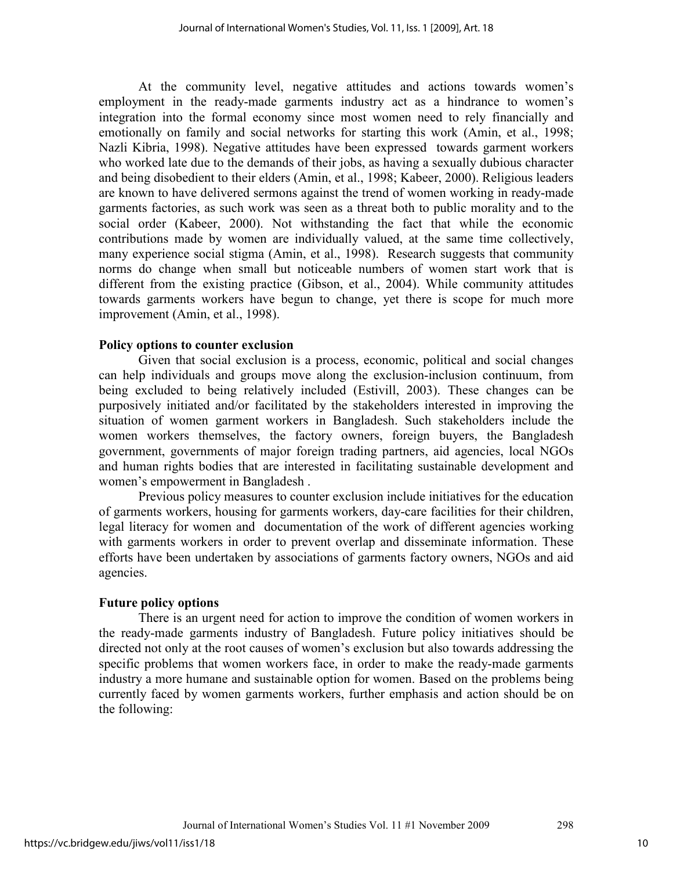At the community level, negative attitudes and actions towards women's employment in the ready-made garments industry act as a hindrance to women's integration into the formal economy since most women need to rely financially and emotionally on family and social networks for starting this work (Amin, et al., 1998; Nazli Kibria, 1998). Negative attitudes have been expressed towards garment workers who worked late due to the demands of their jobs, as having a sexually dubious character and being disobedient to their elders (Amin, et al., 1998; Kabeer, 2000). Religious leaders are known to have delivered sermons against the trend of women working in ready-made garments factories, as such work was seen as a threat both to public morality and to the social order (Kabeer, 2000). Not withstanding the fact that while the economic contributions made by women are individually valued, at the same time collectively, many experience social stigma (Amin, et al., 1998). Research suggests that community norms do change when small but noticeable numbers of women start work that is different from the existing practice (Gibson, et al., 2004). While community attitudes towards garments workers have begun to change, yet there is scope for much more improvement (Amin, et al., 1998).

#### **Policy options to counter exclusion**

Given that social exclusion is a process, economic, political and social changes can help individuals and groups move along the exclusion-inclusion continuum, from being excluded to being relatively included (Estivill, 2003). These changes can be purposively initiated and/or facilitated by the stakeholders interested in improving the situation of women garment workers in Bangladesh. Such stakeholders include the women workers themselves, the factory owners, foreign buyers, the Bangladesh government, governments of major foreign trading partners, aid agencies, local NGOs and human rights bodies that are interested in facilitating sustainable development and women's empowerment in Bangladesh .

Previous policy measures to counter exclusion include initiatives for the education of garments workers, housing for garments workers, day-care facilities for their children, legal literacy for women and documentation of the work of different agencies working with garments workers in order to prevent overlap and disseminate information. These efforts have been undertaken by associations of garments factory owners, NGOs and aid agencies.

#### **Future policy options**

There is an urgent need for action to improve the condition of women workers in the ready-made garments industry of Bangladesh. Future policy initiatives should be directed not only at the root causes of women's exclusion but also towards addressing the specific problems that women workers face, in order to make the ready-made garments industry a more humane and sustainable option for women. Based on the problems being currently faced by women garments workers, further emphasis and action should be on the following: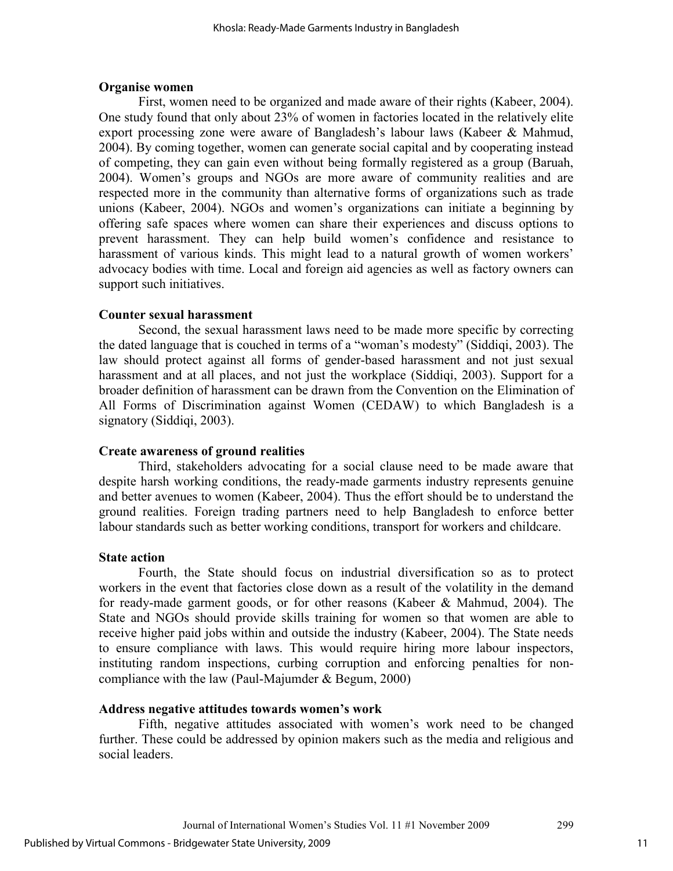## **Organise women**

First, women need to be organized and made aware of their rights (Kabeer, 2004). One study found that only about 23% of women in factories located in the relatively elite export processing zone were aware of Bangladesh's labour laws (Kabeer & Mahmud, 2004). By coming together, women can generate social capital and by cooperating instead of competing, they can gain even without being formally registered as a group (Baruah, 2004). Women's groups and NGOs are more aware of community realities and are respected more in the community than alternative forms of organizations such as trade unions (Kabeer, 2004). NGOs and women's organizations can initiate a beginning by offering safe spaces where women can share their experiences and discuss options to prevent harassment. They can help build women's confidence and resistance to harassment of various kinds. This might lead to a natural growth of women workers' advocacy bodies with time. Local and foreign aid agencies as well as factory owners can support such initiatives.

## **Counter sexual harassment**

Second, the sexual harassment laws need to be made more specific by correcting the dated language that is couched in terms of a "woman's modesty" (Siddiqi, 2003). The law should protect against all forms of gender-based harassment and not just sexual harassment and at all places, and not just the workplace (Siddiqi, 2003). Support for a broader definition of harassment can be drawn from the Convention on the Elimination of All Forms of Discrimination against Women (CEDAW) to which Bangladesh is a signatory (Siddiqi, 2003).

## **Create awareness of ground realities**

Third, stakeholders advocating for a social clause need to be made aware that despite harsh working conditions, the ready-made garments industry represents genuine and better avenues to women (Kabeer, 2004). Thus the effort should be to understand the ground realities. Foreign trading partners need to help Bangladesh to enforce better labour standards such as better working conditions, transport for workers and childcare.

#### **State action**

Fourth, the State should focus on industrial diversification so as to protect workers in the event that factories close down as a result of the volatility in the demand for ready-made garment goods, or for other reasons (Kabeer & Mahmud, 2004). The State and NGOs should provide skills training for women so that women are able to receive higher paid jobs within and outside the industry (Kabeer, 2004). The State needs to ensure compliance with laws. This would require hiring more labour inspectors, instituting random inspections, curbing corruption and enforcing penalties for noncompliance with the law (Paul-Majumder & Begum, 2000)

## **Address negative attitudes towards women's work**

Fifth, negative attitudes associated with women's work need to be changed further. These could be addressed by opinion makers such as the media and religious and social leaders.

11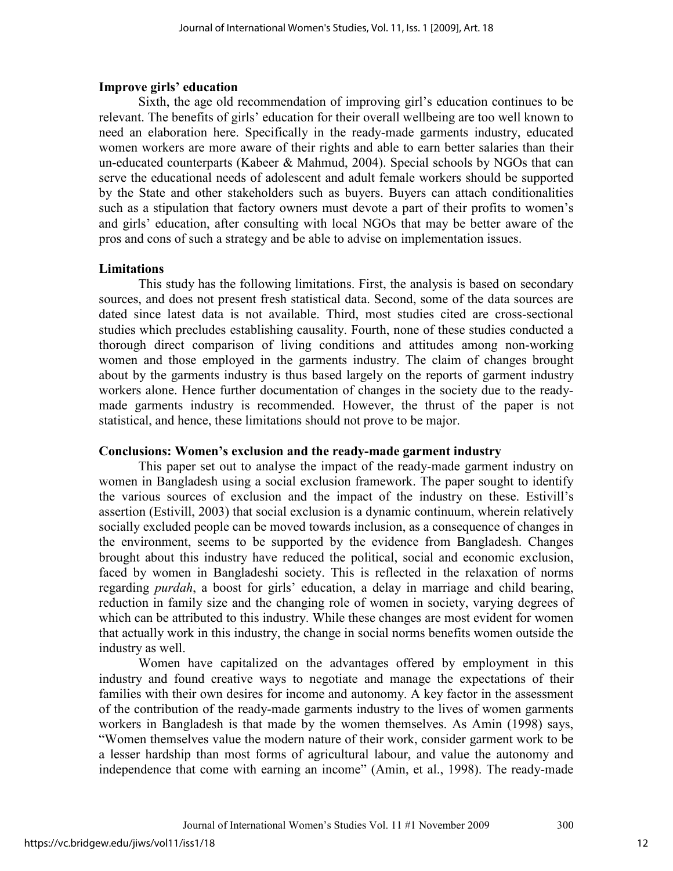## **Improve girls' education**

Sixth, the age old recommendation of improving girl's education continues to be relevant. The benefits of girls' education for their overall wellbeing are too well known to need an elaboration here. Specifically in the ready-made garments industry, educated women workers are more aware of their rights and able to earn better salaries than their un-educated counterparts (Kabeer & Mahmud, 2004). Special schools by NGOs that can serve the educational needs of adolescent and adult female workers should be supported by the State and other stakeholders such as buyers. Buyers can attach conditionalities such as a stipulation that factory owners must devote a part of their profits to women's and girls' education, after consulting with local NGOs that may be better aware of the pros and cons of such a strategy and be able to advise on implementation issues.

## **Limitations**

This study has the following limitations. First, the analysis is based on secondary sources, and does not present fresh statistical data. Second, some of the data sources are dated since latest data is not available. Third, most studies cited are cross-sectional studies which precludes establishing causality. Fourth, none of these studies conducted a thorough direct comparison of living conditions and attitudes among non-working women and those employed in the garments industry. The claim of changes brought about by the garments industry is thus based largely on the reports of garment industry workers alone. Hence further documentation of changes in the society due to the readymade garments industry is recommended. However, the thrust of the paper is not statistical, and hence, these limitations should not prove to be major.

## **Conclusions: Women's exclusion and the ready-made garment industry**

This paper set out to analyse the impact of the ready-made garment industry on women in Bangladesh using a social exclusion framework. The paper sought to identify the various sources of exclusion and the impact of the industry on these. Estivill's assertion (Estivill, 2003) that social exclusion is a dynamic continuum, wherein relatively socially excluded people can be moved towards inclusion, as a consequence of changes in the environment, seems to be supported by the evidence from Bangladesh. Changes brought about this industry have reduced the political, social and economic exclusion, faced by women in Bangladeshi society. This is reflected in the relaxation of norms regarding *purdah*, a boost for girls' education, a delay in marriage and child bearing, reduction in family size and the changing role of women in society, varying degrees of which can be attributed to this industry. While these changes are most evident for women that actually work in this industry, the change in social norms benefits women outside the industry as well.

Women have capitalized on the advantages offered by employment in this industry and found creative ways to negotiate and manage the expectations of their families with their own desires for income and autonomy. A key factor in the assessment of the contribution of the ready-made garments industry to the lives of women garments workers in Bangladesh is that made by the women themselves. As Amin (1998) says, "Women themselves value the modern nature of their work, consider garment work to be a lesser hardship than most forms of agricultural labour, and value the autonomy and independence that come with earning an income" (Amin, et al., 1998). The ready-made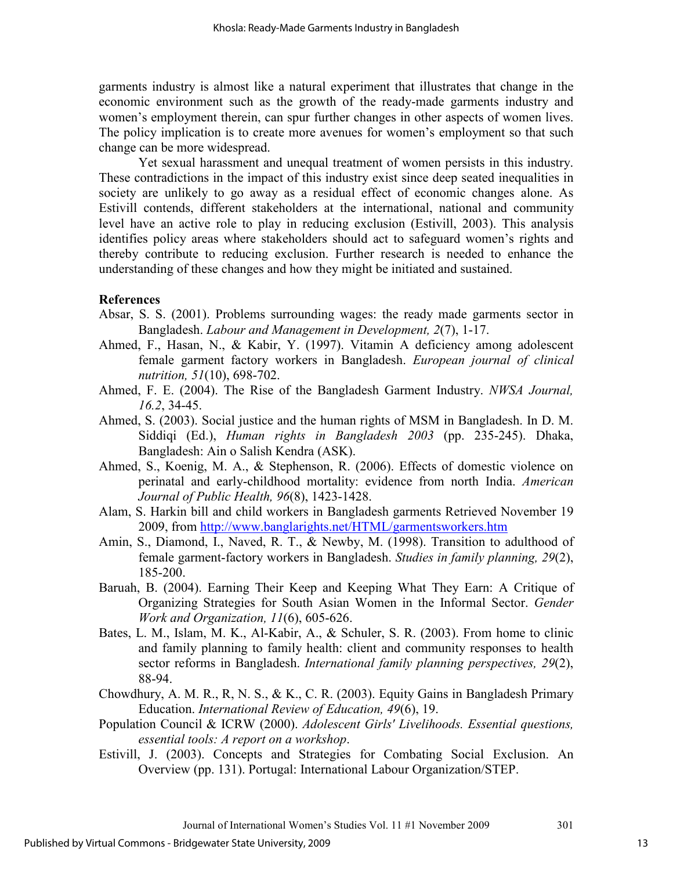garments industry is almost like a natural experiment that illustrates that change in the economic environment such as the growth of the ready-made garments industry and women's employment therein, can spur further changes in other aspects of women lives. The policy implication is to create more avenues for women's employment so that such change can be more widespread.

Yet sexual harassment and unequal treatment of women persists in this industry. These contradictions in the impact of this industry exist since deep seated inequalities in society are unlikely to go away as a residual effect of economic changes alone. As Estivill contends, different stakeholders at the international, national and community level have an active role to play in reducing exclusion (Estivill, 2003). This analysis identifies policy areas where stakeholders should act to safeguard women's rights and thereby contribute to reducing exclusion. Further research is needed to enhance the understanding of these changes and how they might be initiated and sustained.

## **References**

- Absar, S. S. (2001). Problems surrounding wages: the ready made garments sector in Bangladesh. *Labour and Management in Development, 2*(7), 1-17.
- Ahmed, F., Hasan, N., & Kabir, Y. (1997). Vitamin A deficiency among adolescent female garment factory workers in Bangladesh. *European journal of clinical nutrition, 51*(10), 698-702.
- Ahmed, F. E. (2004). The Rise of the Bangladesh Garment Industry. *NWSA Journal, 16.2*, 34-45.
- Ahmed, S. (2003). Social justice and the human rights of MSM in Bangladesh. In D. M. Siddiqi (Ed.), *Human rights in Bangladesh 2003* (pp. 235-245). Dhaka, Bangladesh: Ain o Salish Kendra (ASK).
- Ahmed, S., Koenig, M. A., & Stephenson, R. (2006). Effects of domestic violence on perinatal and early-childhood mortality: evidence from north India. *American Journal of Public Health, 96*(8), 1423-1428.
- Alam, S. Harkin bill and child workers in Bangladesh garments Retrieved November 19 2009, from http://www.banglarights.net/HTML/garmentsworkers.htm
- Amin, S., Diamond, I., Naved, R. T., & Newby, M. (1998). Transition to adulthood of female garment-factory workers in Bangladesh. *Studies in family planning, 29*(2), 185-200.
- Baruah, B. (2004). Earning Their Keep and Keeping What They Earn: A Critique of Organizing Strategies for South Asian Women in the Informal Sector. *Gender Work and Organization, 11*(6), 605-626.
- Bates, L. M., Islam, M. K., Al-Kabir, A., & Schuler, S. R. (2003). From home to clinic and family planning to family health: client and community responses to health sector reforms in Bangladesh. *International family planning perspectives, 29*(2), 88-94.
- Chowdhury, A. M. R., R, N. S., & K., C. R. (2003). Equity Gains in Bangladesh Primary Education. *International Review of Education, 49*(6), 19.
- Population Council & ICRW (2000). *Adolescent Girls' Livelihoods. Essential questions, essential tools: A report on a workshop*.
- Estivill, J. (2003). Concepts and Strategies for Combating Social Exclusion. An Overview (pp. 131). Portugal: International Labour Organization/STEP.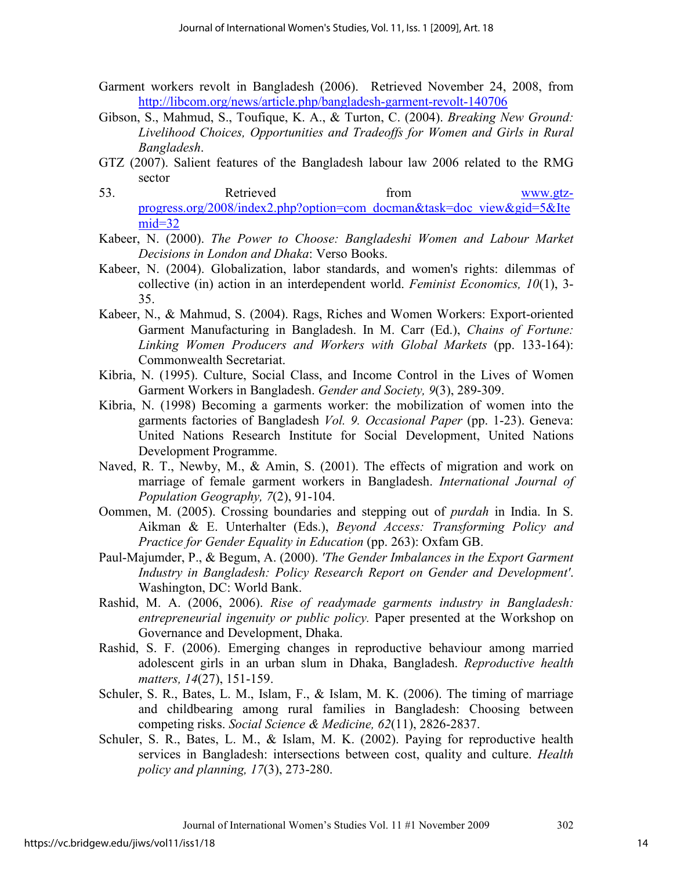- Garment workers revolt in Bangladesh (2006). Retrieved November 24, 2008, from http://libcom.org/news/article.php/bangladesh-garment-revolt-140706
- Gibson, S., Mahmud, S., Toufique, K. A., & Turton, C. (2004). *Breaking New Ground: Livelihood Choices, Opportunities and Tradeoffs for Women and Girls in Rural Bangladesh*.
- GTZ (2007). Salient features of the Bangladesh labour law 2006 related to the RMG sector
- 53. Retrieved from www.gtzprogress.org/2008/index2.php?option=com\_docman&task=doc\_view&gid=5&Ite  $mid=32$
- Kabeer, N. (2000). *The Power to Choose: Bangladeshi Women and Labour Market Decisions in London and Dhaka*: Verso Books.
- Kabeer, N. (2004). Globalization, labor standards, and women's rights: dilemmas of collective (in) action in an interdependent world. *Feminist Economics, 10*(1), 3- 35.
- Kabeer, N., & Mahmud, S. (2004). Rags, Riches and Women Workers: Export-oriented Garment Manufacturing in Bangladesh. In M. Carr (Ed.), *Chains of Fortune: Linking Women Producers and Workers with Global Markets* (pp. 133-164): Commonwealth Secretariat.
- Kibria, N. (1995). Culture, Social Class, and Income Control in the Lives of Women Garment Workers in Bangladesh. *Gender and Society, 9*(3), 289-309.
- Kibria, N. (1998) Becoming a garments worker: the mobilization of women into the garments factories of Bangladesh *Vol. 9. Occasional Paper* (pp. 1-23). Geneva: United Nations Research Institute for Social Development, United Nations Development Programme.
- Naved, R. T., Newby, M., & Amin, S. (2001). The effects of migration and work on marriage of female garment workers in Bangladesh. *International Journal of Population Geography, 7*(2), 91-104.
- Oommen, M. (2005). Crossing boundaries and stepping out of *purdah* in India. In S. Aikman & E. Unterhalter (Eds.), *Beyond Access: Transforming Policy and Practice for Gender Equality in Education* (pp. 263): Oxfam GB.
- Paul-Majumder, P., & Begum, A. (2000). *'The Gender Imbalances in the Export Garment Industry in Bangladesh: Policy Research Report on Gender and Development'*. Washington, DC: World Bank.
- Rashid, M. A. (2006, 2006). *Rise of readymade garments industry in Bangladesh: entrepreneurial ingenuity or public policy.* Paper presented at the Workshop on Governance and Development, Dhaka.
- Rashid, S. F. (2006). Emerging changes in reproductive behaviour among married adolescent girls in an urban slum in Dhaka, Bangladesh. *Reproductive health matters, 14*(27), 151-159.
- Schuler, S. R., Bates, L. M., Islam, F., & Islam, M. K. (2006). The timing of marriage and childbearing among rural families in Bangladesh: Choosing between competing risks. *Social Science & Medicine, 62*(11), 2826-2837.
- Schuler, S. R., Bates, L. M., & Islam, M. K. (2002). Paying for reproductive health services in Bangladesh: intersections between cost, quality and culture. *Health policy and planning, 17*(3), 273-280.